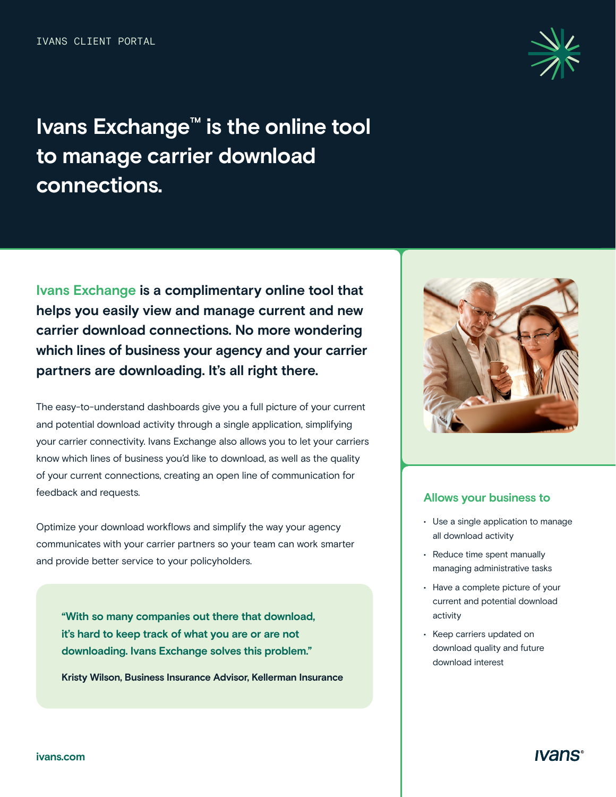

# **Ivans Exchange™ is the online tool to manage carrier download connections.**

**Ivans Exchange is a complimentary online tool that helps you easily view and manage current and new carrier download connections. No more wondering which lines of business your agency and your carrier partners are downloading. It's all right there.** 

The easy-to-understand dashboards give you a full picture of your current and potential download activity through a single application, simplifying your carrier connectivity. Ivans Exchange also allows you to let your carriers know which lines of business you'd like to download, as well as the quality of your current connections, creating an open line of communication for feedback and requests.

Optimize your download workflows and simplify the way your agency communicates with your carrier partners so your team can work smarter and provide better service to your policyholders.

**"With so many companies out there that download, it's hard to keep track of what you are or are not downloading. Ivans Exchange solves this problem."** 

**Kristy Wilson, Business Insurance Advisor, Kellerman Insurance** 



#### **Allows your business to**

- Use a single application to manage all download activity
- Reduce time spent manually managing administrative tasks
- Have a complete picture of your current and potential download activity
- Keep carriers updated on download quality and future download interest